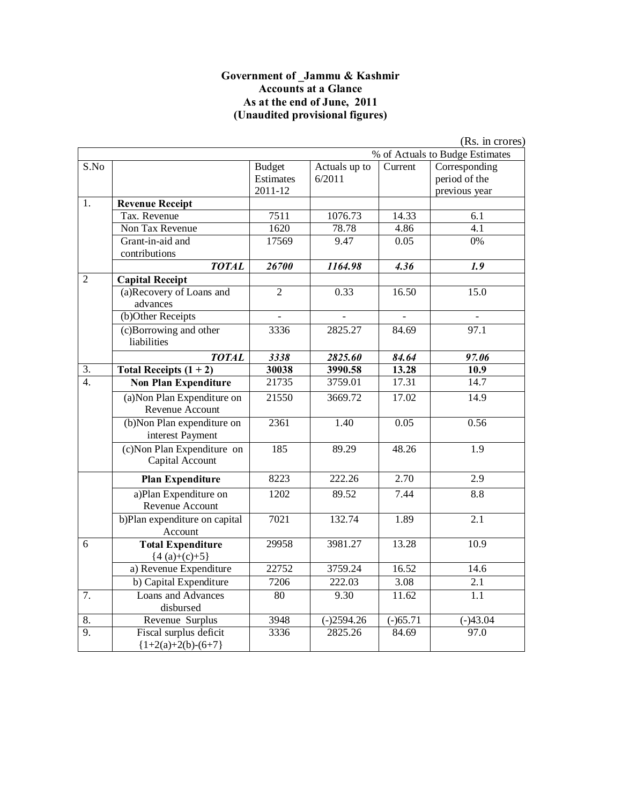#### **Government of \_Jammu & Kashmir Accounts at a Glance As at the end of June, 2011 (Unaudited provisional figures)**

|                  |                                                 |                                       |                         |                | (Rs. in crores)                                 |
|------------------|-------------------------------------------------|---------------------------------------|-------------------------|----------------|-------------------------------------------------|
|                  |                                                 |                                       |                         |                | % of Actuals to Budge Estimates                 |
| S.No             |                                                 | <b>Budget</b><br>Estimates<br>2011-12 | Actuals up to<br>6/2011 | Current        | Corresponding<br>period of the<br>previous year |
| 1.               | <b>Revenue Receipt</b>                          |                                       |                         |                |                                                 |
|                  | Tax. Revenue                                    | 7511                                  | 1076.73                 | 14.33          | 6.1                                             |
|                  | Non Tax Revenue                                 | 1620                                  | 78.78                   | 4.86           | 4.1                                             |
|                  | Grant-in-aid and<br>contributions               | 17569                                 | 9.47                    | 0.05           | 0%                                              |
|                  | <b>TOTAL</b>                                    | 26700                                 | 1164.98                 | 4.36           | 1.9                                             |
| $\overline{2}$   | <b>Capital Receipt</b>                          |                                       |                         |                |                                                 |
|                  | (a)Recovery of Loans and<br>advances            | $\overline{2}$                        | 0.33                    | 16.50          | 15.0                                            |
|                  | (b)Other Receipts                               | $\overline{a}$                        |                         | $\overline{a}$ |                                                 |
|                  | (c)Borrowing and other<br>liabilities           | 3336                                  | 2825.27                 | 84.69          | 97.1                                            |
|                  | <b>TOTAL</b>                                    | 3338                                  | 2825.60                 | 84.64          | 97.06                                           |
| 3.               | Total Receipts $(1 + 2)$                        | 30038                                 | 3990.58                 | 13.28          | 10.9                                            |
| $\overline{4}$ . | <b>Non Plan Expenditure</b>                     | 21735                                 | 3759.01                 | 17.31          | 14.7                                            |
|                  | (a) Non Plan Expenditure on<br>Revenue Account  | 21550                                 | 3669.72                 | 17.02          | 14.9                                            |
|                  | (b)Non Plan expenditure on<br>interest Payment  | 2361                                  | 1.40                    | 0.05           | 0.56                                            |
|                  | (c) Non Plan Expenditure on<br>Capital Account  | 185                                   | 89.29                   | 48.26          | $\overline{1.9}$                                |
|                  | <b>Plan Expenditure</b>                         | 8223                                  | 222.26                  | 2.70           | 2.9                                             |
|                  | a)Plan Expenditure on<br>Revenue Account        | 1202                                  | 89.52                   | 7.44           | 8.8                                             |
|                  | b)Plan expenditure on capital<br>Account        | 7021                                  | 132.74                  | 1.89           | 2.1                                             |
| 6                | <b>Total Expenditure</b><br>${4(a)+(c)+5}$      | 29958                                 | 3981.27                 | 13.28          | 10.9                                            |
|                  | a) Revenue Expenditure                          | 22752                                 | 3759.24                 | 16.52          | 14.6                                            |
|                  | b) Capital Expenditure                          | 7206                                  | 222.03                  | 3.08           | 2.1                                             |
| 7.               | Loans and Advances<br>disbursed                 | 80                                    | 9.30                    | 11.62          | 1.1                                             |
| 8.               | Revenue Surplus                                 | 3948                                  | $(-)2594.26$            | $(-)65.71$     | $(-)43.04$                                      |
| $\overline{9}$ . | Fiscal surplus deficit<br>${1+2(a)+2(b)-(6+7)}$ | 3336                                  | 2825.26                 | 84.69          | 97.0                                            |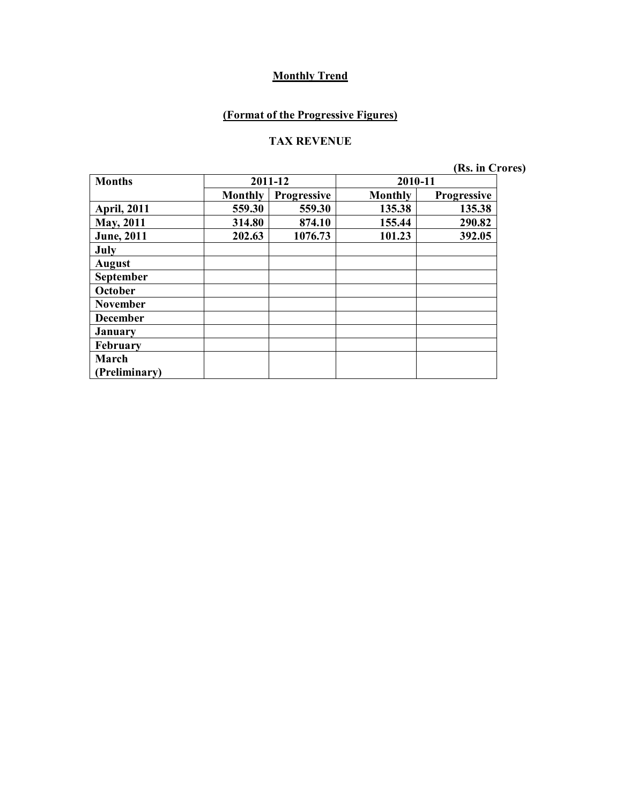## **(Format of the Progressive Figures)**

#### **TAX REVENUE**

| <b>Months</b>      |                | 2011-12            | 2010-11        |                    |
|--------------------|----------------|--------------------|----------------|--------------------|
|                    | <b>Monthly</b> | <b>Progressive</b> | <b>Monthly</b> | <b>Progressive</b> |
| <b>April, 2011</b> | 559.30         | 559.30             | 135.38         | 135.38             |
| <b>May, 2011</b>   | 314.80         | 874.10             | 155.44         | 290.82             |
| <b>June</b> , 2011 | 202.63         | 1076.73            | 101.23         | 392.05             |
| July               |                |                    |                |                    |
| <b>August</b>      |                |                    |                |                    |
| September          |                |                    |                |                    |
| October            |                |                    |                |                    |
| <b>November</b>    |                |                    |                |                    |
| <b>December</b>    |                |                    |                |                    |
| <b>January</b>     |                |                    |                |                    |
| February           |                |                    |                |                    |
| March              |                |                    |                |                    |
| Preliminary)       |                |                    |                |                    |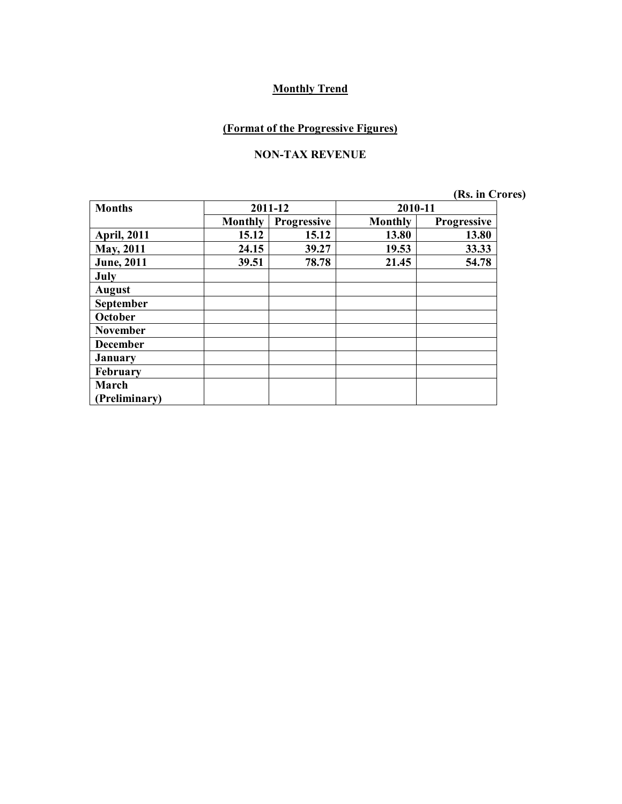#### **(Format of the Progressive Figures)**

#### **NON-TAX REVENUE**

| <b>Months</b>      |                | 2011-12            | 2010-11        |                    |
|--------------------|----------------|--------------------|----------------|--------------------|
|                    | <b>Monthly</b> | <b>Progressive</b> | <b>Monthly</b> | <b>Progressive</b> |
| <b>April, 2011</b> | 15.12          | 15.12              | 13.80          | 13.80              |
| May, 2011          | 24.15          | 39.27              | 19.53          | 33.33              |
| <b>June</b> , 2011 | 39.51          | 78.78              | 21.45          | 54.78              |
| July               |                |                    |                |                    |
| <b>August</b>      |                |                    |                |                    |
| <b>September</b>   |                |                    |                |                    |
| October            |                |                    |                |                    |
| <b>November</b>    |                |                    |                |                    |
| <b>December</b>    |                |                    |                |                    |
| <b>January</b>     |                |                    |                |                    |
| <b>February</b>    |                |                    |                |                    |
| March              |                |                    |                |                    |
| Preliminary)       |                |                    |                |                    |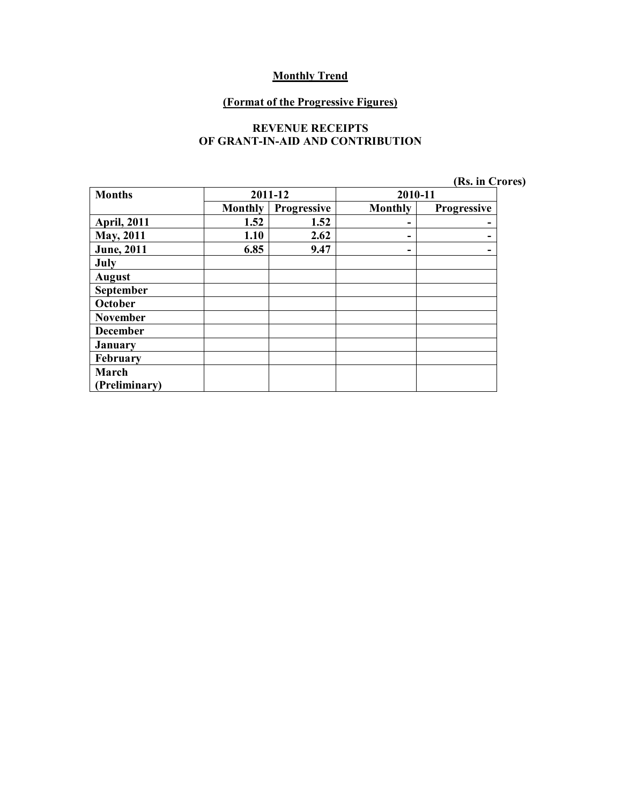#### **(Format of the Progressive Figures)**

#### **REVENUE RECEIPTS OF GRANT-IN-AID AND CONTRIBUTION**

| (Rs. in Crores) |  |
|-----------------|--|
|-----------------|--|

| <b>Months</b>      |                | 2011-12     | 2010-11 |             |  |
|--------------------|----------------|-------------|---------|-------------|--|
|                    | <b>Monthly</b> | Progressive | Monthly | Progressive |  |
| <b>April, 2011</b> | 1.52           | 1.52        | -       |             |  |
| <b>May, 2011</b>   | 1.10           | 2.62        | ۰       |             |  |
| <b>June</b> , 2011 | 6.85           | 9.47        | ۰       |             |  |
| July               |                |             |         |             |  |
| <b>August</b>      |                |             |         |             |  |
| September          |                |             |         |             |  |
| October            |                |             |         |             |  |
| <b>November</b>    |                |             |         |             |  |
| <b>December</b>    |                |             |         |             |  |
| <b>January</b>     |                |             |         |             |  |
| February           |                |             |         |             |  |
| March              |                |             |         |             |  |
| (Preliminary)      |                |             |         |             |  |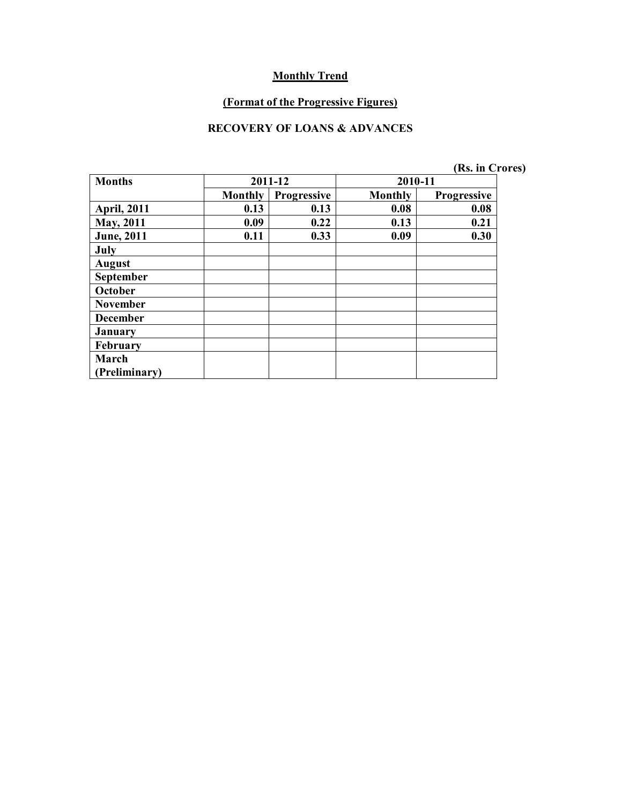#### **(Format of the Progressive Figures)**

### **RECOVERY OF LOANS & ADVANCES**

| <b>Months</b>        |                | 2011-12            | 2010-11        |                    |
|----------------------|----------------|--------------------|----------------|--------------------|
|                      | <b>Monthly</b> | <b>Progressive</b> | <b>Monthly</b> | <b>Progressive</b> |
| <b>April, 2011</b>   | 0.13           | 0.13               | 0.08           | 0.08               |
| May, 2011            | 0.09           | 0.22               | 0.13           | 0.21               |
| <b>June</b> , 2011   | 0.11           | 0.33               | 0.09           | 0.30               |
| July                 |                |                    |                |                    |
| <b>August</b>        |                |                    |                |                    |
| <b>September</b>     |                |                    |                |                    |
| October              |                |                    |                |                    |
| <b>November</b>      |                |                    |                |                    |
| <b>December</b>      |                |                    |                |                    |
| <b>January</b>       |                |                    |                |                    |
| February             |                |                    |                |                    |
| March                |                |                    |                |                    |
| <b>Preliminary</b> ) |                |                    |                |                    |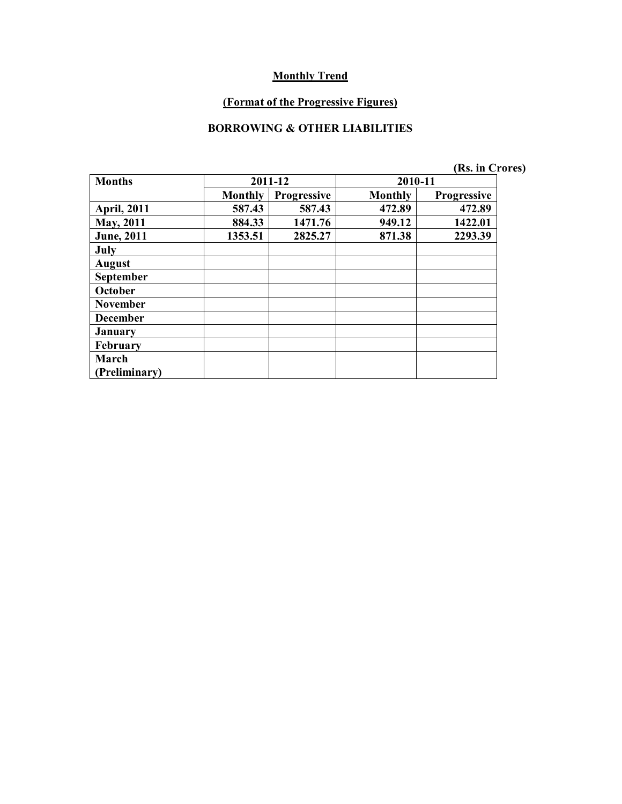#### **(Format of the Progressive Figures)**

### **BORROWING & OTHER LIABILITIES**

|                    |                |             |                | (Rs. in Crores) |  |
|--------------------|----------------|-------------|----------------|-----------------|--|
| <b>Months</b>      |                | 2011-12     | 2010-11        |                 |  |
|                    | <b>Monthly</b> | Progressive | <b>Monthly</b> | Progressive     |  |
| <b>April, 2011</b> | 587.43         | 587.43      | 472.89         | 472.89          |  |
| <b>May, 2011</b>   | 884.33         | 1471.76     | 949.12         | 1422.01         |  |
| <b>June</b> , 2011 | 1353.51        | 2825.27     | 871.38         | 2293.39         |  |
| July               |                |             |                |                 |  |
| <b>August</b>      |                |             |                |                 |  |
| <b>September</b>   |                |             |                |                 |  |
| October            |                |             |                |                 |  |
| <b>November</b>    |                |             |                |                 |  |
| <b>December</b>    |                |             |                |                 |  |
| <b>January</b>     |                |             |                |                 |  |
| <b>February</b>    |                |             |                |                 |  |
| March              |                |             |                |                 |  |
| (Preliminary)      |                |             |                |                 |  |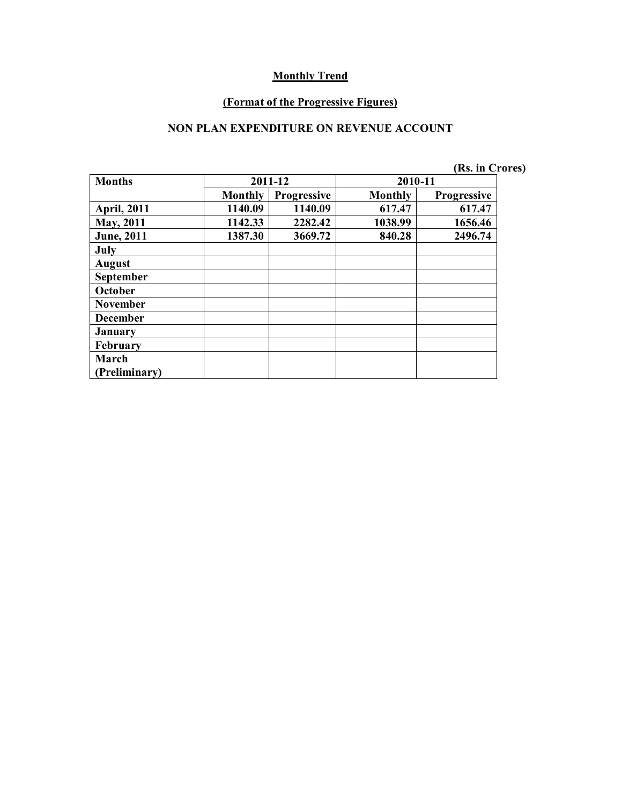#### **(Format of the Progressive Figures)**

### **NON PLAN EXPENDITURE ON REVENUE ACCOUNT**

| (Rs. in Crores) |
|-----------------|
|-----------------|

| <b>Months</b>      |         | 2011-12            | 2010-11        |                    |
|--------------------|---------|--------------------|----------------|--------------------|
|                    | Monthly | <b>Progressive</b> | <b>Monthly</b> | <b>Progressive</b> |
| <b>April, 2011</b> | 1140.09 | 1140.09            | 617.47         | 617.47             |
| May, 2011          | 1142.33 | 2282.42            | 1038.99        | 1656.46            |
| <b>June</b> , 2011 | 1387.30 | 3669.72            | 840.28         | 2496.74            |
| July               |         |                    |                |                    |
| <b>August</b>      |         |                    |                |                    |
| <b>September</b>   |         |                    |                |                    |
| October            |         |                    |                |                    |
| <b>November</b>    |         |                    |                |                    |
| <b>December</b>    |         |                    |                |                    |
| <b>January</b>     |         |                    |                |                    |
| <b>February</b>    |         |                    |                |                    |
| March              |         |                    |                |                    |
| Preliminary)       |         |                    |                |                    |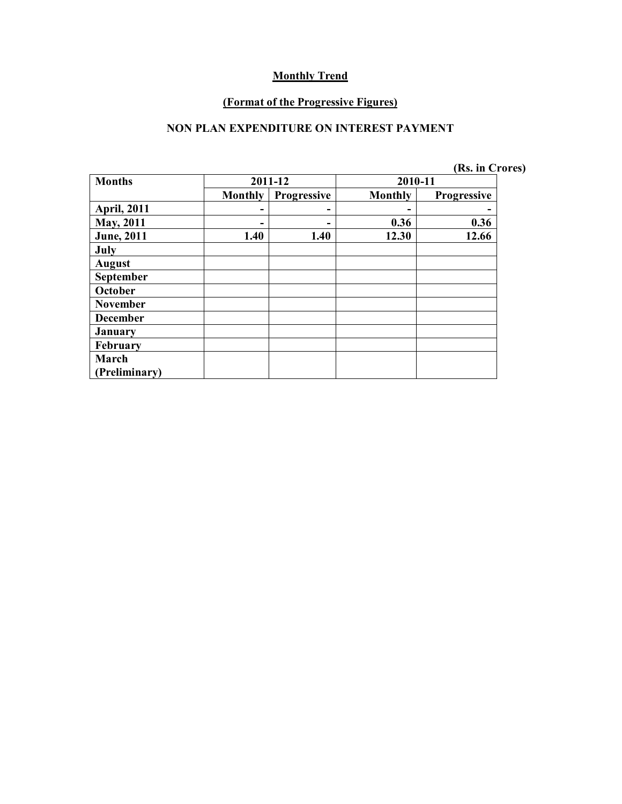#### **(Format of the Progressive Figures)**

### **NON PLAN EXPENDITURE ON INTEREST PAYMENT**

| <b>Months</b>      |                | 2011-12            | 2010-11 |                    |
|--------------------|----------------|--------------------|---------|--------------------|
|                    | <b>Monthly</b> | <b>Progressive</b> | Monthly | <b>Progressive</b> |
| <b>April, 2011</b> |                |                    |         |                    |
| <b>May, 2011</b>   |                |                    | 0.36    | 0.36               |
| <b>June</b> , 2011 | 1.40           | 1.40               | 12.30   | 12.66              |
| July               |                |                    |         |                    |
| <b>August</b>      |                |                    |         |                    |
| September          |                |                    |         |                    |
| October            |                |                    |         |                    |
| <b>November</b>    |                |                    |         |                    |
| <b>December</b>    |                |                    |         |                    |
| <b>January</b>     |                |                    |         |                    |
| <b>February</b>    |                |                    |         |                    |
| March              |                |                    |         |                    |
| (Preliminary)      |                |                    |         |                    |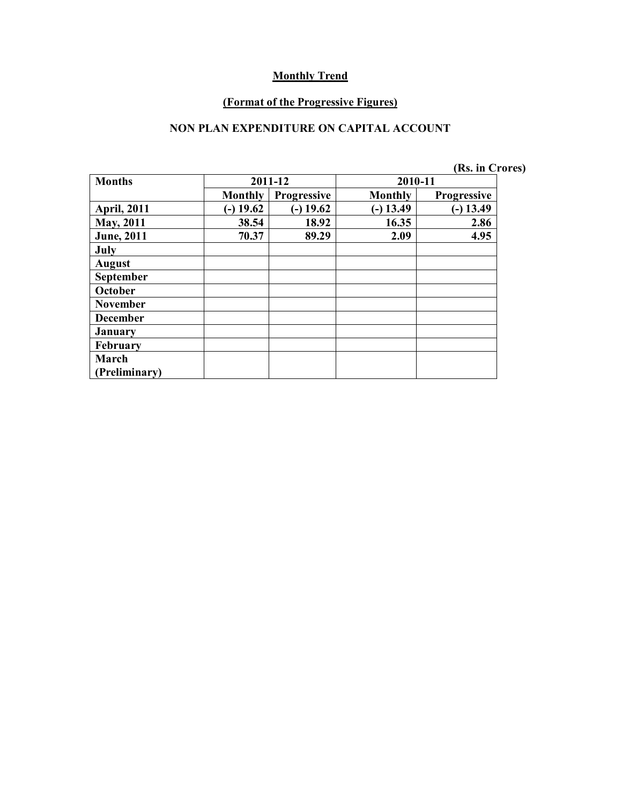#### **(Format of the Progressive Figures)**

### **NON PLAN EXPENDITURE ON CAPITAL ACCOUNT**

|                    |                |                    |             | (Rs. in Crores)    |  |
|--------------------|----------------|--------------------|-------------|--------------------|--|
| <b>Months</b>      |                | 2011-12            | 2010-11     |                    |  |
|                    | <b>Monthly</b> | <b>Progressive</b> | Monthly     | <b>Progressive</b> |  |
| <b>April, 2011</b> | $(-) 19.62$    | $(-)$ 19.62        | $(-)$ 13.49 | $(-) 13.49$        |  |
| <b>May, 2011</b>   | 38.54          | 18.92              | 16.35       | 2.86               |  |
| <b>June</b> , 2011 | 70.37          | 89.29              | 2.09        | 4.95               |  |
| July               |                |                    |             |                    |  |
| <b>August</b>      |                |                    |             |                    |  |
| September          |                |                    |             |                    |  |
| October            |                |                    |             |                    |  |
| <b>November</b>    |                |                    |             |                    |  |
| <b>December</b>    |                |                    |             |                    |  |
| <b>January</b>     |                |                    |             |                    |  |
| February           |                |                    |             |                    |  |
| March              |                |                    |             |                    |  |
| (Preliminary)      |                |                    |             |                    |  |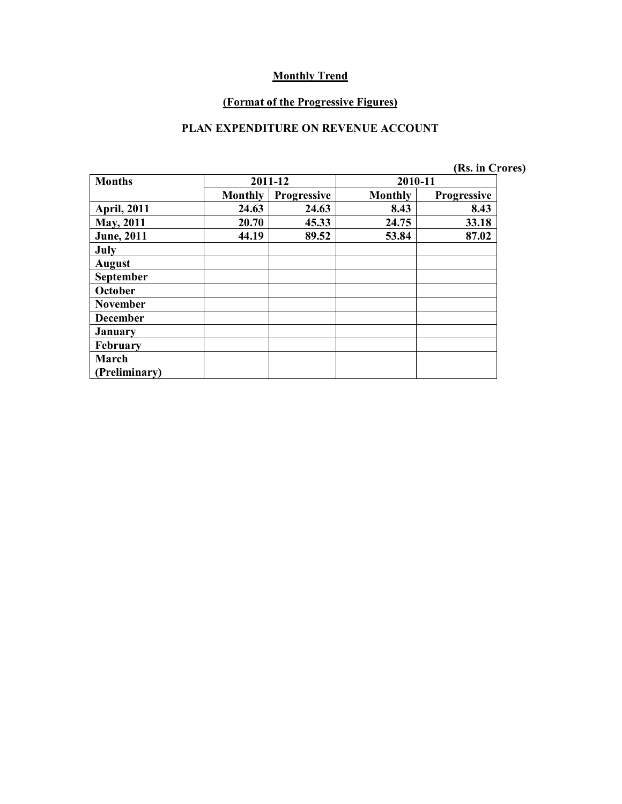#### **(Format of the Progressive Figures)**

### **PLAN EXPENDITURE ON REVENUE ACCOUNT**

| (Rs. in Crores) |  |  |  |
|-----------------|--|--|--|
|-----------------|--|--|--|

| <b>Months</b>      | 2011-12        |             | 2010-11        |                    |
|--------------------|----------------|-------------|----------------|--------------------|
|                    | <b>Monthly</b> | Progressive | <b>Monthly</b> | <b>Progressive</b> |
| <b>April, 2011</b> | 24.63          | 24.63       | 8.43           | 8.43               |
| <b>May, 2011</b>   | 20.70          | 45.33       | 24.75          | 33.18              |
| <b>June</b> , 2011 | 44.19          | 89.52       | 53.84          | 87.02              |
| July               |                |             |                |                    |
| <b>August</b>      |                |             |                |                    |
| <b>September</b>   |                |             |                |                    |
| October            |                |             |                |                    |
| <b>November</b>    |                |             |                |                    |
| <b>December</b>    |                |             |                |                    |
| <b>January</b>     |                |             |                |                    |
| February           |                |             |                |                    |
| March              |                |             |                |                    |
| Preliminary)       |                |             |                |                    |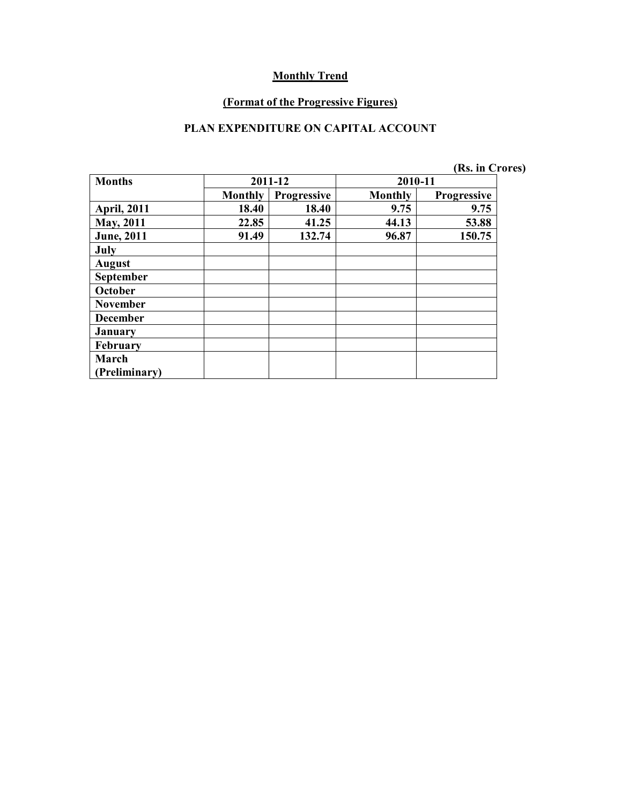#### **(Format of the Progressive Figures)**

### **PLAN EXPENDITURE ON CAPITAL ACCOUNT**

| (Rs. in Crores) |
|-----------------|
|-----------------|

| <b>Months</b>      | 2011-12        |             | 2010-11 |                    |
|--------------------|----------------|-------------|---------|--------------------|
|                    | <b>Monthly</b> | Progressive | Monthly | <b>Progressive</b> |
| <b>April, 2011</b> | 18.40          | 18.40       | 9.75    | 9.75               |
| <b>May, 2011</b>   | 22.85          | 41.25       | 44.13   | 53.88              |
| <b>June</b> , 2011 | 91.49          | 132.74      | 96.87   | 150.75             |
| July               |                |             |         |                    |
| <b>August</b>      |                |             |         |                    |
| September          |                |             |         |                    |
| October            |                |             |         |                    |
| <b>November</b>    |                |             |         |                    |
| <b>December</b>    |                |             |         |                    |
| <b>January</b>     |                |             |         |                    |
| February           |                |             |         |                    |
| March              |                |             |         |                    |
| Preliminary)       |                |             |         |                    |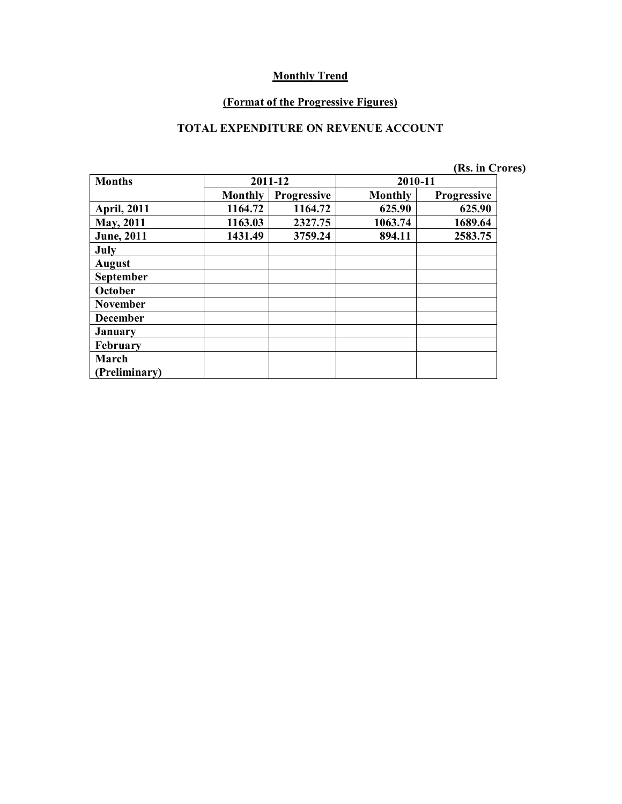#### **(Format of the Progressive Figures)**

### **TOTAL EXPENDITURE ON REVENUE ACCOUNT**

| (Rs. in Crores) |  |
|-----------------|--|
|-----------------|--|

| <b>Months</b>      | 2011-12        |             | 2010-11        |                    |
|--------------------|----------------|-------------|----------------|--------------------|
|                    | <b>Monthly</b> | Progressive | <b>Monthly</b> | <b>Progressive</b> |
| <b>April, 2011</b> | 1164.72        | 1164.72     | 625.90         | 625.90             |
| May, 2011          | 1163.03        | 2327.75     | 1063.74        | 1689.64            |
| <b>June</b> , 2011 | 1431.49        | 3759.24     | 894.11         | 2583.75            |
| July               |                |             |                |                    |
| <b>August</b>      |                |             |                |                    |
| <b>September</b>   |                |             |                |                    |
| October            |                |             |                |                    |
| <b>November</b>    |                |             |                |                    |
| <b>December</b>    |                |             |                |                    |
| <b>January</b>     |                |             |                |                    |
| February           |                |             |                |                    |
| March              |                |             |                |                    |
| Preliminary)       |                |             |                |                    |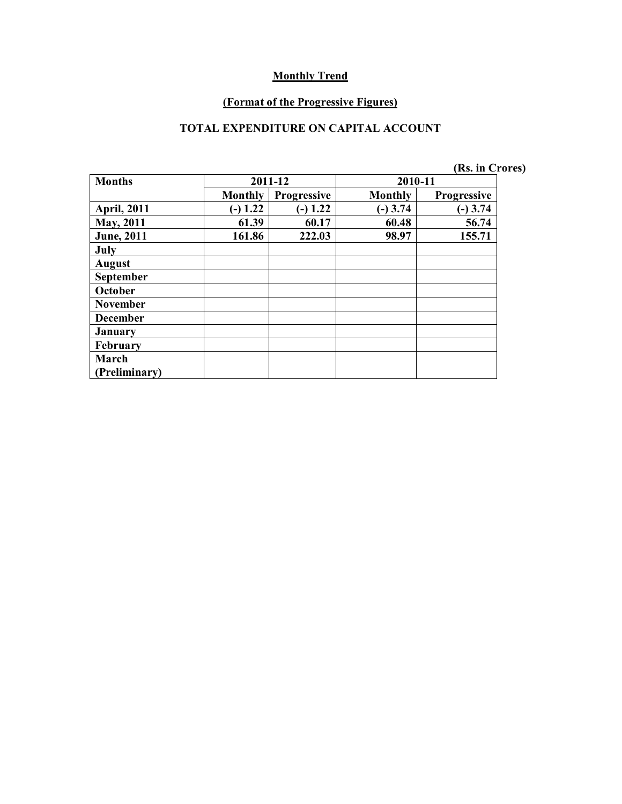#### **(Format of the Progressive Figures)**

### **TOTAL EXPENDITURE ON CAPITAL ACCOUNT**

|                    |                |                    |                | (Rs. in Crores)    |  |
|--------------------|----------------|--------------------|----------------|--------------------|--|
| <b>Months</b>      |                | 2011-12            | 2010-11        |                    |  |
|                    | <b>Monthly</b> | <b>Progressive</b> | <b>Monthly</b> | <b>Progressive</b> |  |
| <b>April, 2011</b> | $-$ ) 1.22     | $-1.22$            | $(-)$ 3.74     | $(-)$ 3.74         |  |
| <b>May, 2011</b>   | 61.39          | 60.17              | 60.48          | 56.74              |  |
| <b>June</b> , 2011 | 161.86         | 222.03             | 98.97          | 155.71             |  |
| July               |                |                    |                |                    |  |
| <b>August</b>      |                |                    |                |                    |  |
| <b>September</b>   |                |                    |                |                    |  |
| October            |                |                    |                |                    |  |
| <b>November</b>    |                |                    |                |                    |  |
| <b>December</b>    |                |                    |                |                    |  |
| <b>January</b>     |                |                    |                |                    |  |
| February           |                |                    |                |                    |  |
| March              |                |                    |                |                    |  |
| (Preliminary)      |                |                    |                |                    |  |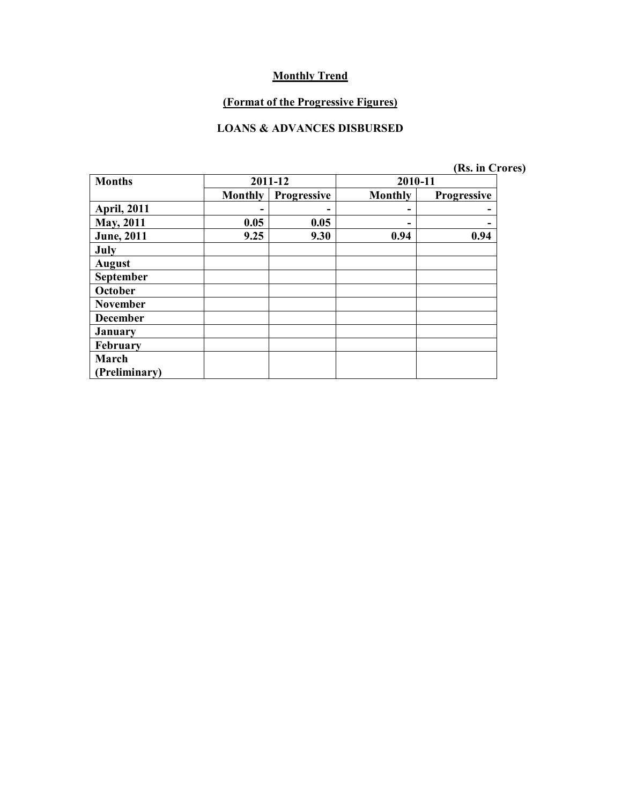#### **(Format of the Progressive Figures)**

#### **LOANS & ADVANCES DISBURSED**

|  |  | (Rs. in Crores) |  |
|--|--|-----------------|--|
|--|--|-----------------|--|

| <b>Months</b>      | 2011-12        |                    | 2010-11        |                    |  |
|--------------------|----------------|--------------------|----------------|--------------------|--|
|                    | <b>Monthly</b> | <b>Progressive</b> | <b>Monthly</b> | <b>Progressive</b> |  |
| <b>April, 2011</b> |                | -                  |                |                    |  |
| <b>May, 2011</b>   | 0.05           | 0.05               |                |                    |  |
| <b>June</b> , 2011 | 9.25           | 9.30               | 0.94           | 0.94               |  |
| July               |                |                    |                |                    |  |
| <b>August</b>      |                |                    |                |                    |  |
| September          |                |                    |                |                    |  |
| October            |                |                    |                |                    |  |
| <b>November</b>    |                |                    |                |                    |  |
| <b>December</b>    |                |                    |                |                    |  |
| <b>January</b>     |                |                    |                |                    |  |
| February           |                |                    |                |                    |  |
| March              |                |                    |                |                    |  |
| Preliminary)       |                |                    |                |                    |  |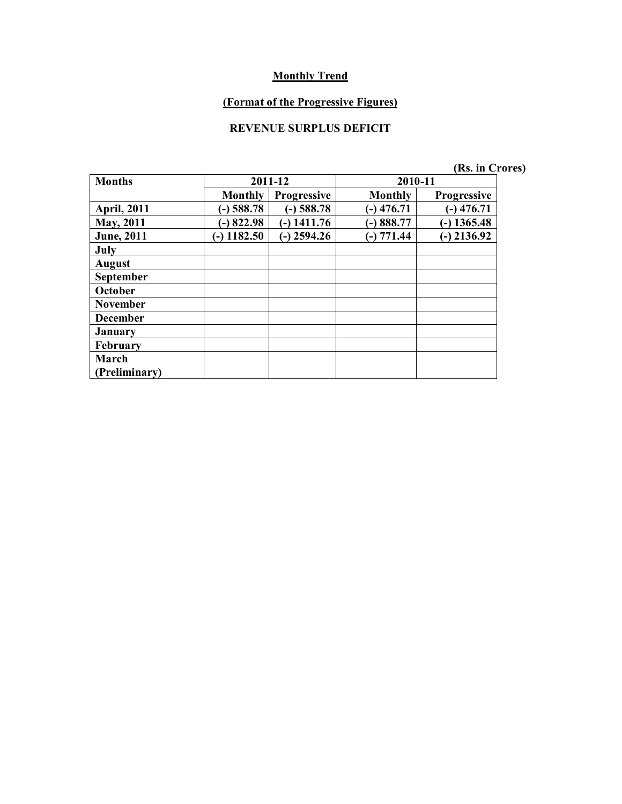# **(Format of the Progressive Figures)**

# **REVENUE SURPLUS DEFICIT**

| <b>Months</b>      | 2011-12        |                    | 2010-11        |                    |  |
|--------------------|----------------|--------------------|----------------|--------------------|--|
|                    | <b>Monthly</b> | <b>Progressive</b> | <b>Monthly</b> | <b>Progressive</b> |  |
| <b>April, 2011</b> | $-$ ) 588.78   | $(-)$ 588.78       | $(-)$ 476.71   | $-)$ 476.71        |  |
| <b>May, 2011</b>   | $-$ 822.98     | $-$ ) 1411.76      | $-)888.77$     | $-$ ) 1365.48      |  |
| <b>June</b> , 2011 | $(-)$ 1182.50  | $(-)$ 2594.26      | $(-) 771.44$   | $-$ ) 2136.92      |  |
| July               |                |                    |                |                    |  |
| <b>August</b>      |                |                    |                |                    |  |
| <b>September</b>   |                |                    |                |                    |  |
| October            |                |                    |                |                    |  |
| <b>November</b>    |                |                    |                |                    |  |
| <b>December</b>    |                |                    |                |                    |  |
| <b>January</b>     |                |                    |                |                    |  |
| February           |                |                    |                |                    |  |
| March              |                |                    |                |                    |  |
| Preliminary)       |                |                    |                |                    |  |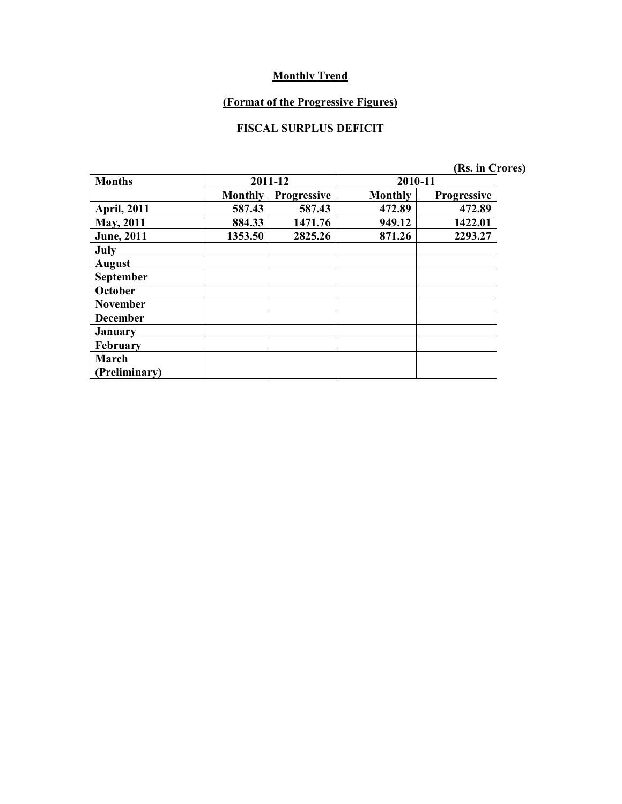## **(Format of the Progressive Figures)**

## **FISCAL SURPLUS DEFICIT**

| <b>Months</b>      | 2011-12        |             | 2010-11        |             |
|--------------------|----------------|-------------|----------------|-------------|
|                    | <b>Monthly</b> | Progressive | <b>Monthly</b> | Progressive |
| <b>April, 2011</b> | 587.43         | 587.43      | 472.89         | 472.89      |
| May, 2011          | 884.33         | 1471.76     | 949.12         | 1422.01     |
| <b>June</b> , 2011 | 1353.50        | 2825.26     | 871.26         | 2293.27     |
| July               |                |             |                |             |
| <b>August</b>      |                |             |                |             |
| <b>September</b>   |                |             |                |             |
| October            |                |             |                |             |
| <b>November</b>    |                |             |                |             |
| <b>December</b>    |                |             |                |             |
| January            |                |             |                |             |
| February           |                |             |                |             |
| March              |                |             |                |             |
| Preliminary)       |                |             |                |             |